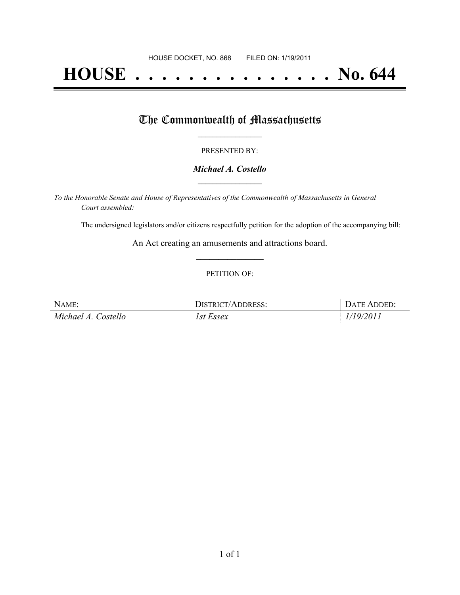# **HOUSE . . . . . . . . . . . . . . . No. 644**

## The Commonwealth of Massachusetts

#### PRESENTED BY:

#### *Michael A. Costello* **\_\_\_\_\_\_\_\_\_\_\_\_\_\_\_\_\_**

*To the Honorable Senate and House of Representatives of the Commonwealth of Massachusetts in General Court assembled:*

The undersigned legislators and/or citizens respectfully petition for the adoption of the accompanying bill:

An Act creating an amusements and attractions board. **\_\_\_\_\_\_\_\_\_\_\_\_\_\_\_**

#### PETITION OF:

| NAME:               | DISTRICT/ADDRESS: | DATE ADDED: |
|---------------------|-------------------|-------------|
| Michael A. Costello | 1st Essex         | 1/19/2011   |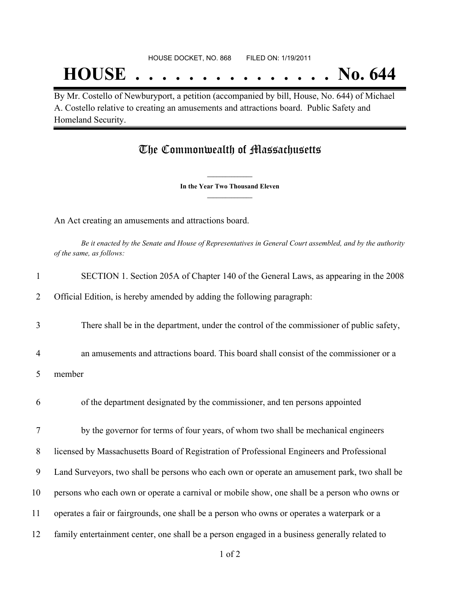## **HOUSE . . . . . . . . . . . . . . . No. 644**

By Mr. Costello of Newburyport, a petition (accompanied by bill, House, No. 644) of Michael A. Costello relative to creating an amusements and attractions board. Public Safety and Homeland Security.

### The Commonwealth of Massachusetts

**\_\_\_\_\_\_\_\_\_\_\_\_\_\_\_ In the Year Two Thousand Eleven \_\_\_\_\_\_\_\_\_\_\_\_\_\_\_**

An Act creating an amusements and attractions board.

Be it enacted by the Senate and House of Representatives in General Court assembled, and by the authority *of the same, as follows:*

| $\mathbf{1}$   | SECTION 1. Section 205A of Chapter 140 of the General Laws, as appearing in the 2008          |
|----------------|-----------------------------------------------------------------------------------------------|
| 2              | Official Edition, is hereby amended by adding the following paragraph:                        |
| 3              | There shall be in the department, under the control of the commissioner of public safety,     |
| $\overline{4}$ | an amusements and attractions board. This board shall consist of the commissioner or a        |
| 5              | member                                                                                        |
| 6              | of the department designated by the commissioner, and ten persons appointed                   |
| $\tau$         | by the governor for terms of four years, of whom two shall be mechanical engineers            |
| 8              | licensed by Massachusetts Board of Registration of Professional Engineers and Professional    |
| 9              | Land Surveyors, two shall be persons who each own or operate an amusement park, two shall be  |
| 10             | persons who each own or operate a carnival or mobile show, one shall be a person who owns or  |
| 11             | operates a fair or fairgrounds, one shall be a person who owns or operates a waterpark or a   |
| 12             | family entertainment center, one shall be a person engaged in a business generally related to |